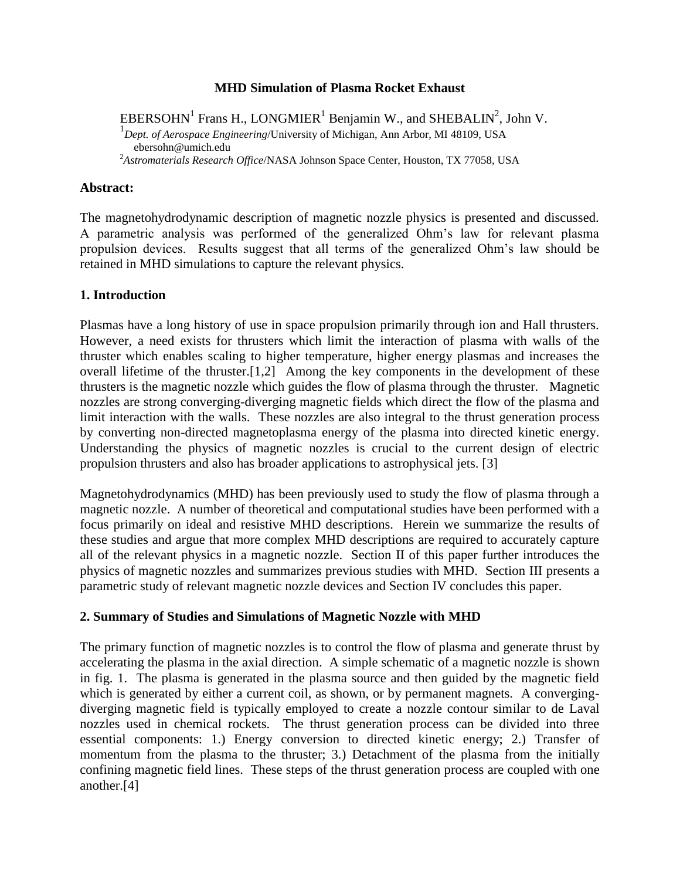### **MHD Simulation of Plasma Rocket Exhaust**

EBERSOHN<sup>1</sup> Frans H., LONGMIER<sup>1</sup> Benjamin W., and SHEBALIN<sup>2</sup>, John V. 1 *Dept. of Aerospace Engineering*/University of Michigan, Ann Arbor, MI 48109, USA ebersohn@umich.edu <sup>2</sup>*Astromaterials Research Office*/NASA Johnson Space Center, Houston, TX 77058, USA

#### **Abstract:**

The magnetohydrodynamic description of magnetic nozzle physics is presented and discussed. A parametric analysis was performed of the generalized Ohm's law for relevant plasma propulsion devices. Results suggest that all terms of the generalized Ohm's law should be retained in MHD simulations to capture the relevant physics.

### **1. Introduction**

Plasmas have a long history of use in space propulsion primarily through ion and Hall thrusters. However, a need exists for thrusters which limit the interaction of plasma with walls of the thruster which enables scaling to higher temperature, higher energy plasmas and increases the overall lifetime of the thruster.[1,2] Among the key components in the development of these thrusters is the magnetic nozzle which guides the flow of plasma through the thruster. Magnetic nozzles are strong converging-diverging magnetic fields which direct the flow of the plasma and limit interaction with the walls. These nozzles are also integral to the thrust generation process by converting non-directed magnetoplasma energy of the plasma into directed kinetic energy. Understanding the physics of magnetic nozzles is crucial to the current design of electric propulsion thrusters and also has broader applications to astrophysical jets. [3]

Magnetohydrodynamics (MHD) has been previously used to study the flow of plasma through a magnetic nozzle. A number of theoretical and computational studies have been performed with a focus primarily on ideal and resistive MHD descriptions. Herein we summarize the results of these studies and argue that more complex MHD descriptions are required to accurately capture all of the relevant physics in a magnetic nozzle. Section II of this paper further introduces the physics of magnetic nozzles and summarizes previous studies with MHD. Section III presents a parametric study of relevant magnetic nozzle devices and Section IV concludes this paper.

#### **2. Summary of Studies and Simulations of Magnetic Nozzle with MHD**

The primary function of magnetic nozzles is to control the flow of plasma and generate thrust by accelerating the plasma in the axial direction. A simple schematic of a magnetic nozzle is shown in fig. 1. The plasma is generated in the plasma source and then guided by the magnetic field which is generated by either a current coil, as shown, or by permanent magnets. A convergingdiverging magnetic field is typically employed to create a nozzle contour similar to de Laval nozzles used in chemical rockets. The thrust generation process can be divided into three essential components: 1.) Energy conversion to directed kinetic energy; 2.) Transfer of momentum from the plasma to the thruster; 3.) Detachment of the plasma from the initially confining magnetic field lines. These steps of the thrust generation process are coupled with one another.[4]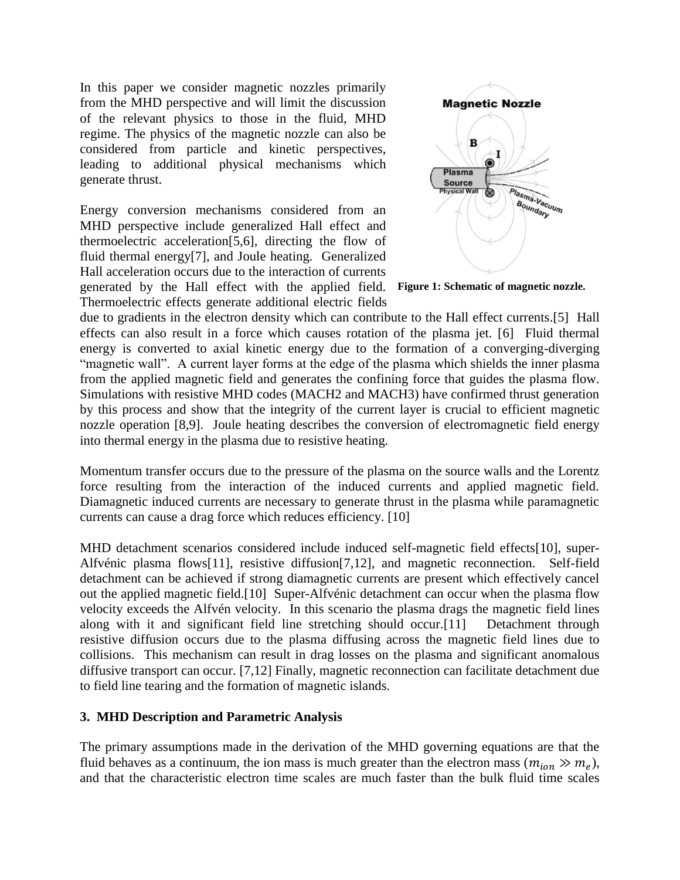In this paper we consider magnetic nozzles primarily from the MHD perspective and will limit the discussion of the relevant physics to those in the fluid, MHD regime. The physics of the magnetic nozzle can also be considered from particle and kinetic perspectives, leading to additional physical mechanisms which generate thrust.

Energy conversion mechanisms considered from an MHD perspective include generalized Hall effect and thermoelectric acceleration[5,6], directing the flow of fluid thermal energy[7], and Joule heating. Generalized Hall acceleration occurs due to the interaction of currents generated by the Hall effect with the applied field. Thermoelectric effects generate additional electric fields



**Figure 1: Schematic of magnetic nozzle.**

due to gradients in the electron density which can contribute to the Hall effect currents.[5] Hall effects can also result in a force which causes rotation of the plasma jet. [6] Fluid thermal energy is converted to axial kinetic energy due to the formation of a converging-diverging "magnetic wall". A current layer forms at the edge of the plasma which shields the inner plasma from the applied magnetic field and generates the confining force that guides the plasma flow. Simulations with resistive MHD codes (MACH2 and MACH3) have confirmed thrust generation by this process and show that the integrity of the current layer is crucial to efficient magnetic nozzle operation [8,9]. Joule heating describes the conversion of electromagnetic field energy into thermal energy in the plasma due to resistive heating.

Momentum transfer occurs due to the pressure of the plasma on the source walls and the Lorentz force resulting from the interaction of the induced currents and applied magnetic field. Diamagnetic induced currents are necessary to generate thrust in the plasma while paramagnetic currents can cause a drag force which reduces efficiency. [10]

MHD detachment scenarios considered include induced self-magnetic field effects[10], super-Alfvénic plasma flows[11], resistive diffusion[7,12], and magnetic reconnection. Self-field detachment can be achieved if strong diamagnetic currents are present which effectively cancel out the applied magnetic field.[10] Super-Alfvénic detachment can occur when the plasma flow velocity exceeds the Alfvén velocity. In this scenario the plasma drags the magnetic field lines along with it and significant field line stretching should occur.[11] Detachment through resistive diffusion occurs due to the plasma diffusing across the magnetic field lines due to collisions. This mechanism can result in drag losses on the plasma and significant anomalous diffusive transport can occur. [7,12] Finally, magnetic reconnection can facilitate detachment due to field line tearing and the formation of magnetic islands.

#### **3. MHD Description and Parametric Analysis**

The primary assumptions made in the derivation of the MHD governing equations are that the fluid behaves as a continuum, the ion mass is much greater than the electron mass  $(m_{ion} \gg m_e)$ , and that the characteristic electron time scales are much faster than the bulk fluid time scales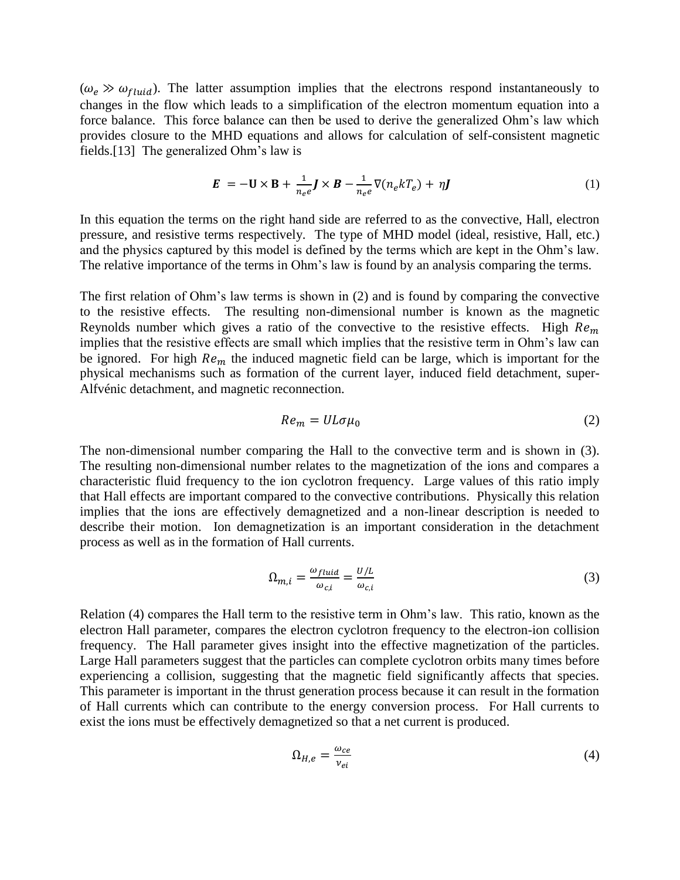$(\omega_e \gg \omega_{fluid})$ . The latter assumption implies that the electrons respond instantaneously to changes in the flow which leads to a simplification of the electron momentum equation into a force balance. This force balance can then be used to derive the generalized Ohm's law which provides closure to the MHD equations and allows for calculation of self-consistent magnetic fields.[13] The generalized Ohm's law is

$$
\mathbf{E} = -\mathbf{U} \times \mathbf{B} + \frac{1}{n_e e} \mathbf{J} \times \mathbf{B} - \frac{1}{n_e e} \nabla(n_e k T_e) + \eta \mathbf{J}
$$
 (1)

In this equation the terms on the right hand side are referred to as the convective, Hall, electron pressure, and resistive terms respectively. The type of MHD model (ideal, resistive, Hall, etc.) and the physics captured by this model is defined by the terms which are kept in the Ohm's law. The relative importance of the terms in Ohm's law is found by an analysis comparing the terms.

The first relation of Ohm's law terms is shown in (2) and is found by comparing the convective to the resistive effects. The resulting non-dimensional number is known as the magnetic Reynolds number which gives a ratio of the convective to the resistive effects. High  $Re<sub>m</sub>$ implies that the resistive effects are small which implies that the resistive term in Ohm's law can be ignored. For high  $Re<sub>m</sub>$  the induced magnetic field can be large, which is important for the physical mechanisms such as formation of the current layer, induced field detachment, super-Alfvénic detachment, and magnetic reconnection.

$$
Re_m = UL\sigma\mu_0 \tag{2}
$$

The non-dimensional number comparing the Hall to the convective term and is shown in (3). The resulting non-dimensional number relates to the magnetization of the ions and compares a characteristic fluid frequency to the ion cyclotron frequency. Large values of this ratio imply that Hall effects are important compared to the convective contributions. Physically this relation implies that the ions are effectively demagnetized and a non-linear description is needed to describe their motion. Ion demagnetization is an important consideration in the detachment process as well as in the formation of Hall currents.

$$
\Omega_{m,i} = \frac{\omega_{fluid}}{\omega_{c,i}} = \frac{U/L}{\omega_{c,i}}\tag{3}
$$

Relation (4) compares the Hall term to the resistive term in Ohm's law. This ratio, known as the electron Hall parameter, compares the electron cyclotron frequency to the electron-ion collision frequency. The Hall parameter gives insight into the effective magnetization of the particles. Large Hall parameters suggest that the particles can complete cyclotron orbits many times before experiencing a collision, suggesting that the magnetic field significantly affects that species. This parameter is important in the thrust generation process because it can result in the formation of Hall currents which can contribute to the energy conversion process. For Hall currents to exist the ions must be effectively demagnetized so that a net current is produced.

$$
\Omega_{H,e} = \frac{\omega_{ce}}{\nu_{ei}}\tag{4}
$$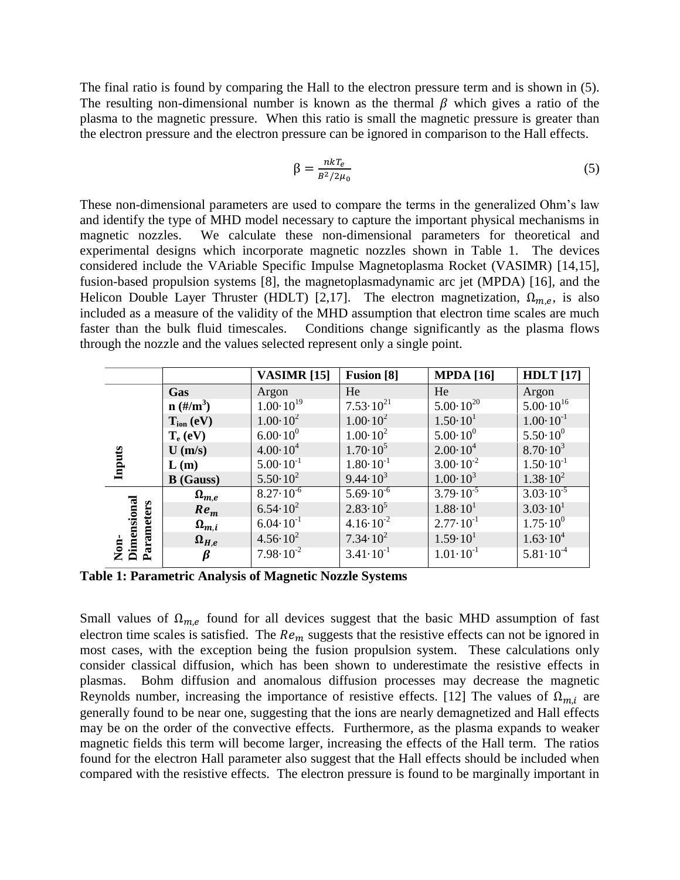The final ratio is found by comparing the Hall to the electron pressure term and is shown in (5). The resulting non-dimensional number is known as the thermal  $\beta$  which gives a ratio of the plasma to the magnetic pressure. When this ratio is small the magnetic pressure is greater than the electron pressure and the electron pressure can be ignored in comparison to the Hall effects.

$$
\beta = \frac{n k T_e}{B^2 / 2\mu_0} \tag{5}
$$

These non-dimensional parameters are used to compare the terms in the generalized Ohm's law and identify the type of MHD model necessary to capture the important physical mechanisms in magnetic nozzles. We calculate these non-dimensional parameters for theoretical and experimental designs which incorporate magnetic nozzles shown in Table 1. The devices considered include the VAriable Specific Impulse Magnetoplasma Rocket (VASIMR) [14,15], fusion-based propulsion systems [8], the magnetoplasmadynamic arc jet (MPDA) [16], and the Helicon Double Layer Thruster (HDLT) [2,17]. The electron magnetization,  $\Omega_{m,e}$ , is also included as a measure of the validity of the MHD assumption that electron time scales are much faster than the bulk fluid timescales. Conditions change significantly as the plasma flows through the nozzle and the values selected represent only a single point.

|                                                    |                  | <b>VASIMR</b> [15]   | <b>Fusion</b> [8]    | <b>MPDA</b> [16]     | <b>HDLT</b> [17]     |
|----------------------------------------------------|------------------|----------------------|----------------------|----------------------|----------------------|
| <b>Inputs</b>                                      | Gas              | Argon                | He                   | He                   | Argon                |
|                                                    | $n \, (\#/m^3)$  | $1.00 \cdot 10^{19}$ | $7.53 \cdot 10^{21}$ | $5.00 \cdot 10^{20}$ | $5.00 \cdot 10^{16}$ |
|                                                    | $T_{ion} (eV)$   | $1.00 \cdot 10^2$    | $1.00 \cdot 10^2$    | $1.50 \cdot 10^{1}$  | $1.00 \cdot 10^{-1}$ |
|                                                    | $T_e$ (eV)       | $6.00 \cdot 10^{0}$  | $1.00 \cdot 10^2$    | $5.00 \cdot 10^{0}$  | $5.50 \cdot 10^{0}$  |
|                                                    | $U$ (m/s)        | $4.00 \cdot 10^4$    | $1.70 \cdot 10^5$    | $2.00 \cdot 10^4$    | $8.70 \cdot 10^3$    |
|                                                    | L(m)             | $5.00 \cdot 10^{-1}$ | $1.80 \cdot 10^{-1}$ | $3.00 \cdot 10^{-2}$ | $1.50 \cdot 10^{-1}$ |
|                                                    | <b>B</b> (Gauss) | $5.50 \cdot 10^{2}$  | $9.44 \cdot 10^{3}$  | $1.00 \cdot 10^3$    | $1.38 \cdot 10^{2}$  |
| Dimensional<br>arameters<br>$\sum_{i=1}^{n}$<br>تم | $\Omega_{m,e}$   | $8.27 \cdot 10^{-6}$ | $5.69 \cdot 10^{-6}$ | $3.79 \cdot 10^{-5}$ | $3.03 \cdot 10^{-5}$ |
|                                                    | $Re_m$           | $6.54 \cdot 10^{2}$  | $2.83 \cdot 10^5$    | $1.88 \cdot 10^{1}$  | $3.03 \cdot 10^{1}$  |
|                                                    | $\Omega_{m,i}$   | $6.04 \cdot 10^{-1}$ | $4.16 \cdot 10^{-2}$ | $2.77 \cdot 10^{-1}$ | $1.75 \cdot 10^{0}$  |
|                                                    | $\Omega_{H,e}$   | $4.56 \cdot 10^{2}$  | $7.34 \cdot 10^{2}$  | $1.59 \cdot 10^{1}$  | $1.63 \cdot 10^{4}$  |
|                                                    | β                | $7.98 \cdot 10^{-2}$ | $3.41 \cdot 10^{-1}$ | $1.01 \cdot 10^{-1}$ | $5.81 \cdot 10^{-4}$ |

**Table 1: Parametric Analysis of Magnetic Nozzle Systems**

Small values of  $\Omega_{m,e}$  found for all devices suggest that the basic MHD assumption of fast electron time scales is satisfied. The  $Re<sub>m</sub>$  suggests that the resistive effects can not be ignored in most cases, with the exception being the fusion propulsion system. These calculations only consider classical diffusion, which has been shown to underestimate the resistive effects in plasmas. Bohm diffusion and anomalous diffusion processes may decrease the magnetic Reynolds number, increasing the importance of resistive effects. [12] The values of  $\Omega_{m,i}$  are generally found to be near one, suggesting that the ions are nearly demagnetized and Hall effects may be on the order of the convective effects. Furthermore, as the plasma expands to weaker magnetic fields this term will become larger, increasing the effects of the Hall term. The ratios found for the electron Hall parameter also suggest that the Hall effects should be included when compared with the resistive effects. The electron pressure is found to be marginally important in